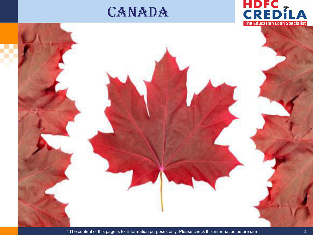### **CANADA**



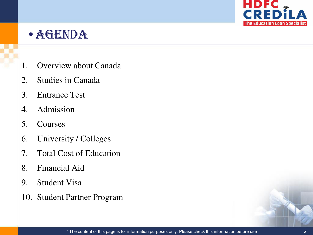![](_page_1_Picture_0.jpeg)

### •Agenda

- 1. Overview about Canada
- 2. Studies in Canada
- 3. Entrance Test
- 4. Admission
- 5. Courses
- 6. University / Colleges
- 7. Total Cost of Education
- 8. Financial Aid
- 9. Student Visa
- 10. Student Partner Program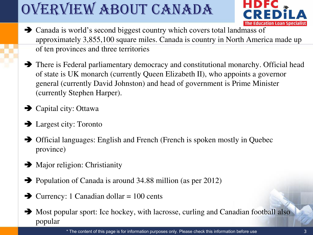# Overview about Canada

![](_page_2_Picture_1.jpeg)

- Canada is world's second biggest country which covers total landmass of approximately 3,855,100 square miles. Canada is country in North America made up of ten provinces and three territories
- There is Federal parliamentary democracy and constitutional monarchy. Official head of state is UK monarch (currently Queen Elizabeth II), who appoints a governor general (currently David Johnston) and head of government is Prime Minister (currently Stephen Harper).
- **→** Capital city: Ottawa
- **→** Largest city: Toronto
- Official languages: English and French (French is spoken mostly in Quebec province)
- $\rightarrow$  Major religion: Christianity
- Population of Canada is around 34.88 million (as per 2012)
- $\rightarrow$  Currency: 1 Canadian dollar = 100 cents
- $\rightarrow$  Most popular sport: Ice hockey, with lacrosse, curling and Canadian football also popular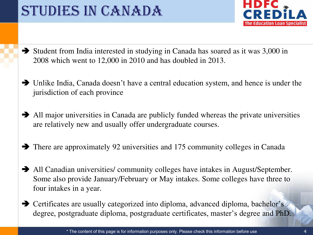### STUDIES IN CANADA

![](_page_3_Picture_1.jpeg)

- Student from India interested in studying in Canada has soared as it was 3,000 in 2008 which went to 12,000 in 2010 and has doubled in 2013.
- Unlike India, Canada doesn't have a central education system, and hence is under the jurisdiction of each province
- All major universities in Canada are publicly funded whereas the private universities are relatively new and usually offer undergraduate courses.
- There are approximately 92 universities and 175 community colleges in Canada
- All Canadian universities/ community colleges have intakes in August/September. Some also provide January/February or May intakes. Some colleges have three to four intakes in a year.
- **→** Certificates are usually categorized into diploma, advanced diploma, bachelor's degree, postgraduate diploma, postgraduate certificates, master's degree and PhD.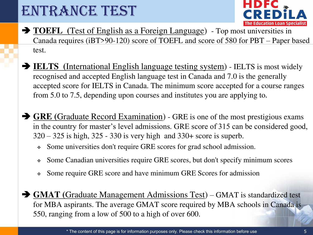### ENTRANCE TEST

![](_page_4_Picture_1.jpeg)

- **TOEFL** (Test of English as a Foreign Language) Top most universities in Canada requires (iBT>90-120) score of TOEFL and score of 580 for PBT – Paper based test.
- **IELTS** (International English language testing system) IELTS is most widely recognised and accepted English language test in Canada and 7.0 is the generally accepted score for IELTS in Canada. The minimum score accepted for a course ranges from 5.0 to 7.5, depending upon courses and institutes you are applying to.
- **GRE (**Graduate Record Examination) GRE is one of the most prestigious exams in the country for master's level admissions. GRE score of 315 can be considered good, 320 – 325 is high, 325 - 330 is very high and 330+ score is superb.
	- Some universities don't require GRE scores for grad school admission.
	- Some Canadian universities require GRE scores, but don't specify minimum scores
	- Some require GRE score and have minimum GRE Scores for admission
- **GMAT (**Graduate Management Admissions Test) GMAT is standardized test for MBA aspirants. The average GMAT score required by MBA schools in Canada is 550, ranging from a low of 500 to a high of over 600.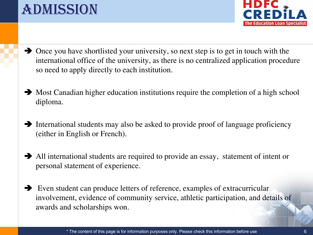### Admission

![](_page_5_Picture_1.jpeg)

- Once you have shortlisted your university, so next step is to get in touch with the international office of the university, as there is no centralized application procedure so need to apply directly to each institution.
- $\rightarrow$  Most Canadian higher education institutions require the completion of a high school diploma.
- International students may also be asked to provide proof of language proficiency (either in English or French).
- All international students are required to provide an essay, statement of intent or personal statement of experience.
- Even student can produce letters of reference, examples of extracurricular involvement, evidence of community service, athletic participation, and details of awards and scholarships won.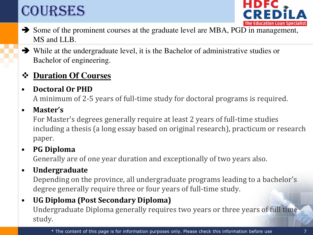## COURSES

![](_page_6_Picture_1.jpeg)

- Some of the prominent courses at the graduate level are MBA, PGD in management, MS and LLB.
- While at the undergraduate level, it is the Bachelor of administrative studies or Bachelor of engineering.

#### **❖ Duration Of Courses**

#### • **Doctoral Or PHD**

A minimum of 2‐5 years of full‐time study for doctoral programs is required.

#### • **Master's**

For Master's degrees generally require at least 2 years of full‐time studies including a thesis (a long essay based on original research), practicum or research paper.

#### • **PG Diploma**

Generally are of one year duration and exceptionally of two years also.

#### • **Undergraduate**

Depending on the province, all undergraduate programs leading to a bachelor's degree generally require three or four years of full‐time study.

#### • **UG Diploma (Post Secondary Diploma)**

Undergraduate Diploma generally requires two years or three years of full time study.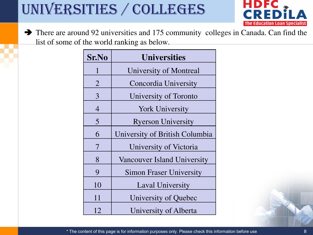# Universities / Colleges

![](_page_7_Picture_1.jpeg)

 There are around 92 universities and 175 community colleges in Canada. Can find the list of some of the world ranking as below.

| <b>Sr.No</b>   | <b>Universities</b>            |
|----------------|--------------------------------|
| $\mathbf{1}$   | <b>University of Montreal</b>  |
| $\overline{2}$ | Concordia University           |
| 3              | University of Toronto          |
| $\overline{4}$ | <b>York University</b>         |
| 5              | <b>Ryerson University</b>      |
| 6              | University of British Columbia |
| 7              | University of Victoria         |
| 8              | Vancouver Island University    |
| 9              | <b>Simon Fraser University</b> |
| 10             | <b>Laval University</b>        |
| 11             | University of Quebec           |
| 12             | University of Alberta          |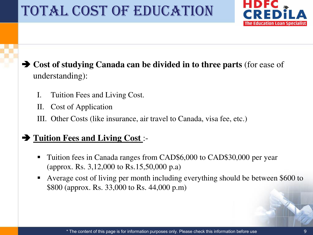### Total Cost of Education

![](_page_8_Picture_1.jpeg)

#### **Cost of studying Canada can be divided in to three parts** (for ease of understanding):

- I. Tuition Fees and Living Cost.
- II. Cost of Application
- III. Other Costs (like insurance, air travel to Canada, visa fee, etc.)

#### **Tuition Fees and Living Cost** :-

- Tuition fees in Canada ranges from CAD\$6,000 to CAD\$30,000 per year (approx. Rs. 3,12,000 to Rs.15,50,000 p.a)
- Average cost of living per month including everything should be between \$600 to \$800 (approx. Rs. 33,000 to Rs. 44,000 p.m)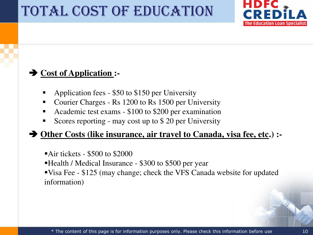### TOTAL COST OF EDUCATION

![](_page_9_Picture_1.jpeg)

#### **→ Cost of Application :-**

- Application fees \$50 to \$150 per University
- Courier Charges Rs 1200 to Rs 1500 per University
- Academic test exams \$100 to \$200 per examination
- Scores reporting may cost up to \$ 20 per University

#### ◆ <u>Other Costs (like insurance, air travel to Canada, visa fee, etc</u>.) :-

- Air tickets \$500 to \$2000
- Health / Medical Insurance \$300 to \$500 per year
- Visa Fee \$125 (may change; check the VFS Canada website for updated information)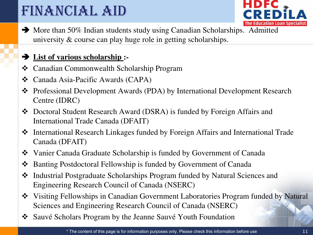## FINANCIAL AID

![](_page_10_Picture_1.jpeg)

• More than 50% Indian students study using Canadian Scholarships. Admitted university & course can play huge role in getting scholarships.

#### **List of various scholarship :-**

- Canadian Commonwealth Scholarship Program
- Canada Asia-Pacific Awards (CAPA)
- Professional Development Awards (PDA) by International Development Research Centre (IDRC)
- Doctoral Student Research Award (DSRA) is funded by Foreign Affairs and International Trade Canada (DFAIT)
- International Research Linkages funded by Foreign Affairs and International Trade Canada (DFAIT)
- Vanier Canada Graduate Scholarship is funded by Government of Canada
- Banting Postdoctoral Fellowship is funded by Government of Canada
- Industrial Postgraduate Scholarships Program funded by Natural Sciences and Engineering Research Council of Canada (NSERC)
- Visiting Fellowships in Canadian Government Laboratories Program funded by Natural Sciences and Engineering Research Council of Canada (NSERC)
- Sauvé Scholars Program by the Jeanne Sauvé Youth Foundation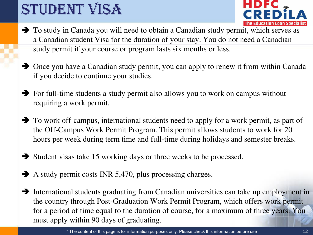# STUDENT VISA

![](_page_11_Picture_1.jpeg)

- To study in Canada you will need to obtain a Canadian study permit, which serves as a Canadian student Visa for the duration of your stay. You do not need a Canadian study permit if your course or program lasts six months or less.
- Once you have a Canadian study permit, you can apply to renew it from within Canada if you decide to continue your studies.
- For full-time students a study permit also allows you to work on campus without requiring a work permit.
- To work off-campus, international students need to apply for a work permit, as part of the Off-Campus Work Permit Program. This permit allows students to work for 20 hours per week during term time and full-time during holidays and semester breaks.
- $\rightarrow$  Student visas take 15 working days or three weeks to be processed.
- $\blacktriangleright$  A study permit costs INR 5,470, plus processing charges.
- International students graduating from Canadian universities can take up employment in the country through Post-Graduation Work Permit Program, which offers work permit for a period of time equal to the duration of course, for a maximum of three years. You must apply within 90 days of graduating.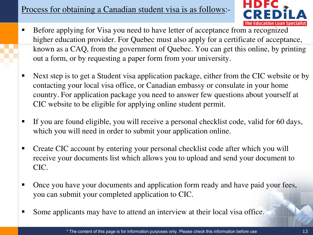#### Process for obtaining a Canadian student visa is as follows:-

![](_page_12_Picture_1.jpeg)

- Before applying for Visa you need to have letter of acceptance from a recognized higher education provider. For Quebec must also apply for a certificate of acceptance, known as a CAQ, from the government of Quebec. You can get this online, by printing out a form, or by requesting a paper form from your university.
- Next step is to get a Student visa application package, either from the CIC website or by contacting your local visa office, or Canadian embassy or consulate in your home country. For application package you need to answer few questions about yourself at CIC website to be eligible for applying online student permit.
- If you are found eligible, you will receive a personal checklist code, valid for 60 days, which you will need in order to submit your application online.
- Create CIC account by entering your personal checklist code after which you will receive your documents list which allows you to upload and send your document to CIC.
- Once you have your documents and application form ready and have paid your fees, you can submit your completed application to CIC.
- Some applicants may have to attend an interview at their local visa office.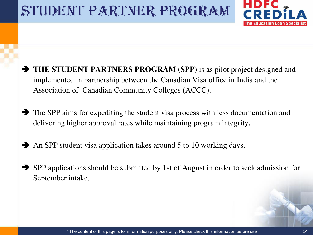### STUDENT PARTNER PROGRAM

![](_page_13_Picture_1.jpeg)

- **THE STUDENT PARTNERS PROGRAM (SPP)** is as pilot project designed and implemented in partnership between the Canadian Visa office in India and the Association of Canadian Community Colleges (ACCC).
- The SPP aims for expediting the student visa process with less documentation and delivering higher approval rates while maintaining program integrity.
- An SPP student visa application takes around 5 to 10 working days.
- SPP applications should be submitted by 1st of August in order to seek admission for September intake.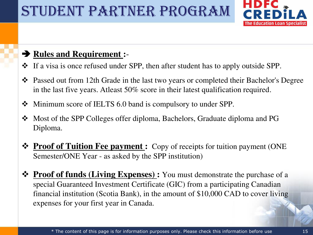## Student Partner Program

![](_page_14_Picture_1.jpeg)

#### **Rules and Requirement :**-

- If a visa is once refused under SPP, then after student has to apply outside SPP.
- Passed out from 12th Grade in the last two years or completed their Bachelor's Degree in the last five years. Atleast 50% score in their latest qualification required.
- Minimum score of IELTS 6.0 band is compulsory to under SPP.
- Most of the SPP Colleges offer diploma, Bachelors, Graduate diploma and PG Diploma.
- **<sup>◆</sup> Proof of Tuition Fee payment :** Copy of receipts for tuition payment (ONE Semester/ONE Year - as asked by the SPP institution)
- **Expenses** Frouriang Proof of funds (Living Expenses): You must demonstrate the purchase of a special Guaranteed Investment Certificate (GIC) from a participating Canadian financial institution (Scotia Bank), in the amount of \$10,000 CAD to cover living expenses for your first year in Canada.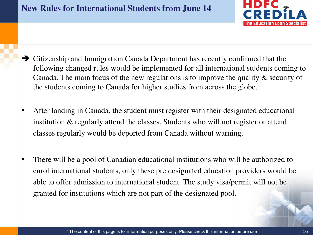![](_page_15_Picture_1.jpeg)

- Citizenship and Immigration Canada Department has recently confirmed that the following changed rules would be implemented for all international students coming to Canada. The main focus of the new regulations is to improve the quality & security of the students coming to Canada for higher studies from across the globe.
- After landing in Canada, the student must register with their designated educational institution & regularly attend the classes. Students who will not register or attend classes regularly would be deported from Canada without warning.
- There will be a pool of Canadian educational institutions who will be authorized to enrol international students, only these pre designated education providers would be able to offer admission to international student. The study visa/permit will not be granted for institutions which are not part of the designated pool.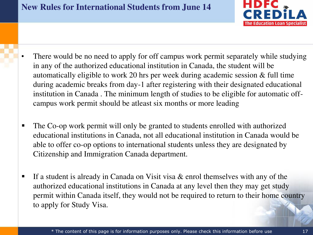![](_page_16_Picture_1.jpeg)

- There would be no need to apply for off campus work permit separately while studying in any of the authorized educational institution in Canada, the student will be automatically eligible to work 20 hrs per week during academic session & full time during academic breaks from day-1 after registering with their designated educational institution in Canada . The minimum length of studies to be eligible for automatic offcampus work permit should be atleast six months or more leading
- The Co-op work permit will only be granted to students enrolled with authorized educational institutions in Canada, not all educational institution in Canada would be able to offer co-op options to international students unless they are designated by Citizenship and Immigration Canada department.
- If a student is already in Canada on Visit visa  $\&$  enrol themselves with any of the authorized educational institutions in Canada at any level then they may get study permit within Canada itself, they would not be required to return to their home country to apply for Study Visa.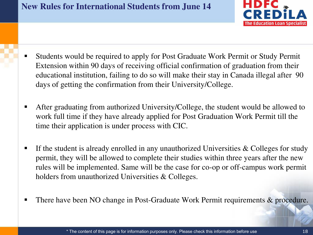#### **New Rules for International Students from June 14**

![](_page_17_Picture_1.jpeg)

- Students would be required to apply for Post Graduate Work Permit or Study Permit Extension within 90 days of receiving official confirmation of graduation from their educational institution, failing to do so will make their stay in Canada illegal after 90 days of getting the confirmation from their University/College.
- After graduating from authorized University/College, the student would be allowed to work full time if they have already applied for Post Graduation Work Permit till the time their application is under process with CIC.
- If the student is already enrolled in any unauthorized Universities  $\&$  Colleges for study permit, they will be allowed to complete their studies within three years after the new rules will be implemented. Same will be the case for co-op or off-campus work permit holders from unauthorized Universities & Colleges.
- There have been NO change in Post-Graduate Work Permit requirements & procedure.